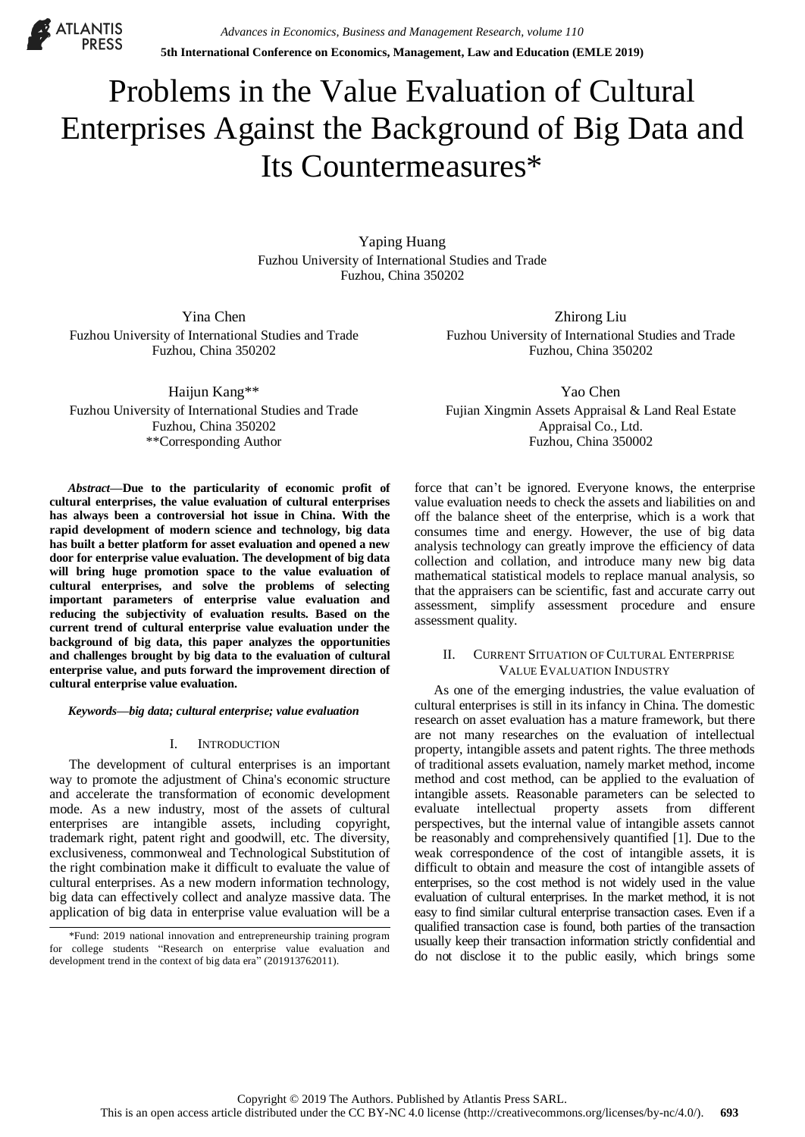**ATLANTIS** 

# Problems in the Value Evaluation of Cultural Enterprises Against the Background of Big Data and Its Countermeasures\*

Yaping Huang Fuzhou University of International Studies and Trade Fuzhou, China 350202

Yina Chen Fuzhou University of International Studies and Trade Fuzhou, China 350202

Haijun Kang\*\* Fuzhou University of International Studies and Trade Fuzhou, China 350202 \*\*Corresponding Author

*Abstract***—Due to the particularity of economic profit of cultural enterprises, the value evaluation of cultural enterprises has always been a controversial hot issue in China. With the rapid development of modern science and technology, big data has built a better platform for asset evaluation and opened a new door for enterprise value evaluation. The development of big data will bring huge promotion space to the value evaluation of cultural enterprises, and solve the problems of selecting important parameters of enterprise value evaluation and reducing the subjectivity of evaluation results. Based on the current trend of cultural enterprise value evaluation under the background of big data, this paper analyzes the opportunities and challenges brought by big data to the evaluation of cultural enterprise value, and puts forward the improvement direction of cultural enterprise value evaluation.**

*Keywords—big data; cultural enterprise; value evaluation*

#### I. INTRODUCTION

The development of cultural enterprises is an important way to promote the adjustment of China's economic structure and accelerate the transformation of economic development mode. As a new industry, most of the assets of cultural enterprises are intangible assets, including copyright, trademark right, patent right and goodwill, etc. The diversity, exclusiveness, commonweal and Technological Substitution of the right combination make it difficult to evaluate the value of cultural enterprises. As a new modern information technology, big data can effectively collect and analyze massive data. The application of big data in enterprise value evaluation will be a

Zhirong Liu Fuzhou University of International Studies and Trade Fuzhou, China 350202

Yao Chen Fujian Xingmin Assets Appraisal & Land Real Estate Appraisal Co., Ltd. Fuzhou, China 350002

force that can't be ignored. Everyone knows, the enterprise value evaluation needs to check the assets and liabilities on and off the balance sheet of the enterprise, which is a work that consumes time and energy. However, the use of big data analysis technology can greatly improve the efficiency of data collection and collation, and introduce many new big data mathematical statistical models to replace manual analysis, so that the appraisers can be scientific, fast and accurate carry out assessment, simplify assessment procedure and ensure assessment quality.

# II. CURRENT SITUATION OF CULTURAL ENTERPRISE VALUE EVALUATION INDUSTRY

As one of the emerging industries, the value evaluation of cultural enterprises is still in its infancy in China. The domestic research on asset evaluation has a mature framework, but there are not many researches on the evaluation of intellectual property, intangible assets and patent rights. The three methods of traditional assets evaluation, namely market method, income method and cost method, can be applied to the evaluation of intangible assets. Reasonable parameters can be selected to evaluate intellectual property assets from different perspectives, but the internal value of intangible assets cannot be reasonably and comprehensively quantified [1]. Due to the weak correspondence of the cost of intangible assets, it is difficult to obtain and measure the cost of intangible assets of enterprises, so the cost method is not widely used in the value evaluation of cultural enterprises. In the market method, it is not easy to find similar cultural enterprise transaction cases. Even if a qualified transaction case is found, both parties of the transaction usually keep their transaction information strictly confidential and do not disclose it to the public easily, which brings some

<sup>\*</sup>Fund: 2019 national innovation and entrepreneurship training program for college students "Research on enterprise value evaluation and development trend in the context of big data era" (201913762011).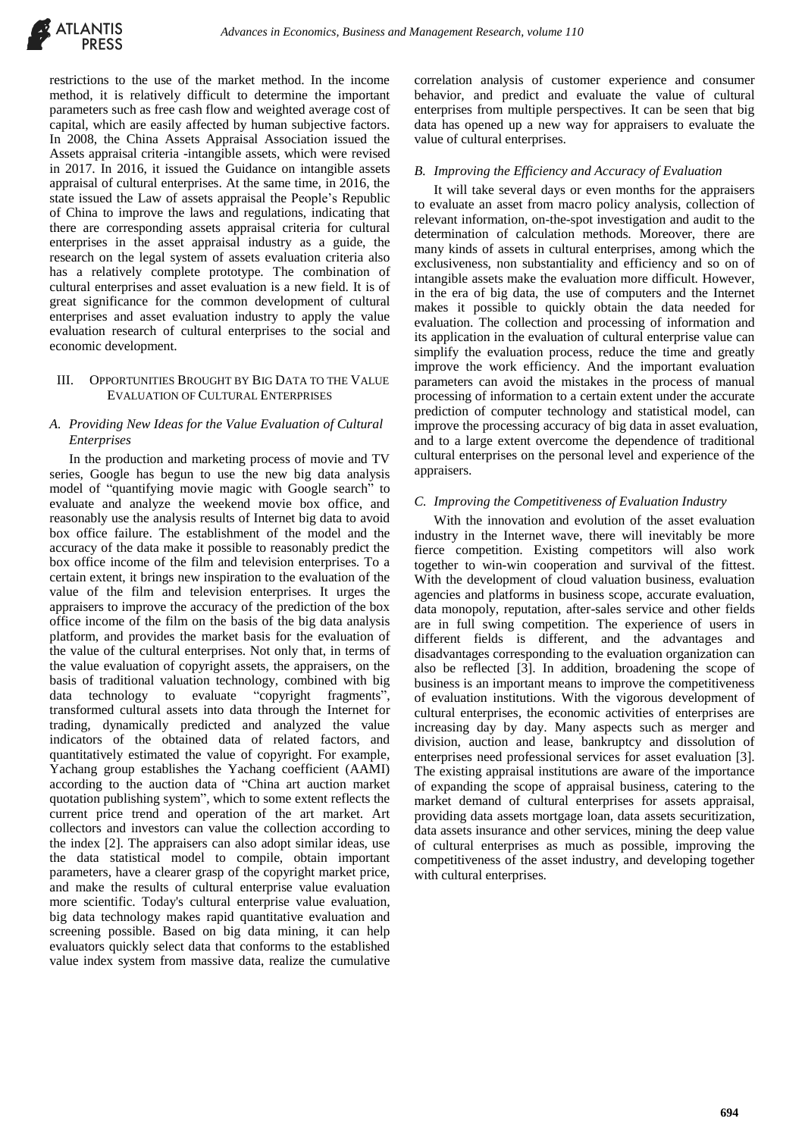

restrictions to the use of the market method. In the income method, it is relatively difficult to determine the important parameters such as free cash flow and weighted average cost of capital, which are easily affected by human subjective factors. In 2008, the China Assets Appraisal Association issued the Assets appraisal criteria -intangible assets, which were revised in 2017. In 2016, it issued the Guidance on intangible assets appraisal of cultural enterprises. At the same time, in 2016, the state issued the Law of assets appraisal the People's Republic of China to improve the laws and regulations, indicating that there are corresponding assets appraisal criteria for cultural enterprises in the asset appraisal industry as a guide, the research on the legal system of assets evaluation criteria also has a relatively complete prototype. The combination of cultural enterprises and asset evaluation is a new field. It is of great significance for the common development of cultural enterprises and asset evaluation industry to apply the value evaluation research of cultural enterprises to the social and economic development.

# III. OPPORTUNITIES BROUGHT BY BIG DATA TO THE VALUE EVALUATION OF CULTURAL ENTERPRISES

# *A. Providing New Ideas for the Value Evaluation of Cultural Enterprises*

In the production and marketing process of movie and TV series, Google has begun to use the new big data analysis model of "quantifying movie magic with Google search" to evaluate and analyze the weekend movie box office, and reasonably use the analysis results of Internet big data to avoid box office failure. The establishment of the model and the accuracy of the data make it possible to reasonably predict the box office income of the film and television enterprises. To a certain extent, it brings new inspiration to the evaluation of the value of the film and television enterprises. It urges the appraisers to improve the accuracy of the prediction of the box office income of the film on the basis of the big data analysis platform, and provides the market basis for the evaluation of the value of the cultural enterprises. Not only that, in terms of the value evaluation of copyright assets, the appraisers, on the basis of traditional valuation technology, combined with big data technology to evaluate "copyright fragments" transformed cultural assets into data through the Internet for trading, dynamically predicted and analyzed the value indicators of the obtained data of related factors, and quantitatively estimated the value of copyright. For example, Yachang group establishes the Yachang coefficient (AAMI) according to the auction data of "China art auction market quotation publishing system", which to some extent reflects the current price trend and operation of the art market. Art collectors and investors can value the collection according to the index [2]. The appraisers can also adopt similar ideas, use the data statistical model to compile, obtain important parameters, have a clearer grasp of the copyright market price, and make the results of cultural enterprise value evaluation more scientific. Today's cultural enterprise value evaluation, big data technology makes rapid quantitative evaluation and screening possible. Based on big data mining, it can help evaluators quickly select data that conforms to the established value index system from massive data, realize the cumulative

correlation analysis of customer experience and consumer behavior, and predict and evaluate the value of cultural enterprises from multiple perspectives. It can be seen that big data has opened up a new way for appraisers to evaluate the value of cultural enterprises.

# *B. Improving the Efficiency and Accuracy of Evaluation*

It will take several days or even months for the appraisers to evaluate an asset from macro policy analysis, collection of relevant information, on-the-spot investigation and audit to the determination of calculation methods. Moreover, there are many kinds of assets in cultural enterprises, among which the exclusiveness, non substantiality and efficiency and so on of intangible assets make the evaluation more difficult. However, in the era of big data, the use of computers and the Internet makes it possible to quickly obtain the data needed for evaluation. The collection and processing of information and its application in the evaluation of cultural enterprise value can simplify the evaluation process, reduce the time and greatly improve the work efficiency. And the important evaluation parameters can avoid the mistakes in the process of manual processing of information to a certain extent under the accurate prediction of computer technology and statistical model, can improve the processing accuracy of big data in asset evaluation, and to a large extent overcome the dependence of traditional cultural enterprises on the personal level and experience of the appraisers.

#### *C. Improving the Competitiveness of Evaluation Industry*

With the innovation and evolution of the asset evaluation industry in the Internet wave, there will inevitably be more fierce competition. Existing competitors will also work together to win-win cooperation and survival of the fittest. With the development of cloud valuation business, evaluation agencies and platforms in business scope, accurate evaluation, data monopoly, reputation, after-sales service and other fields are in full swing competition. The experience of users in different fields is different, and the advantages and disadvantages corresponding to the evaluation organization can also be reflected [3]. In addition, broadening the scope of business is an important means to improve the competitiveness of evaluation institutions. With the vigorous development of cultural enterprises, the economic activities of enterprises are increasing day by day. Many aspects such as merger and division, auction and lease, bankruptcy and dissolution of enterprises need professional services for asset evaluation [3]. The existing appraisal institutions are aware of the importance of expanding the scope of appraisal business, catering to the market demand of cultural enterprises for assets appraisal, providing data assets mortgage loan, data assets securitization, data assets insurance and other services, mining the deep value of cultural enterprises as much as possible, improving the competitiveness of the asset industry, and developing together with cultural enterprises.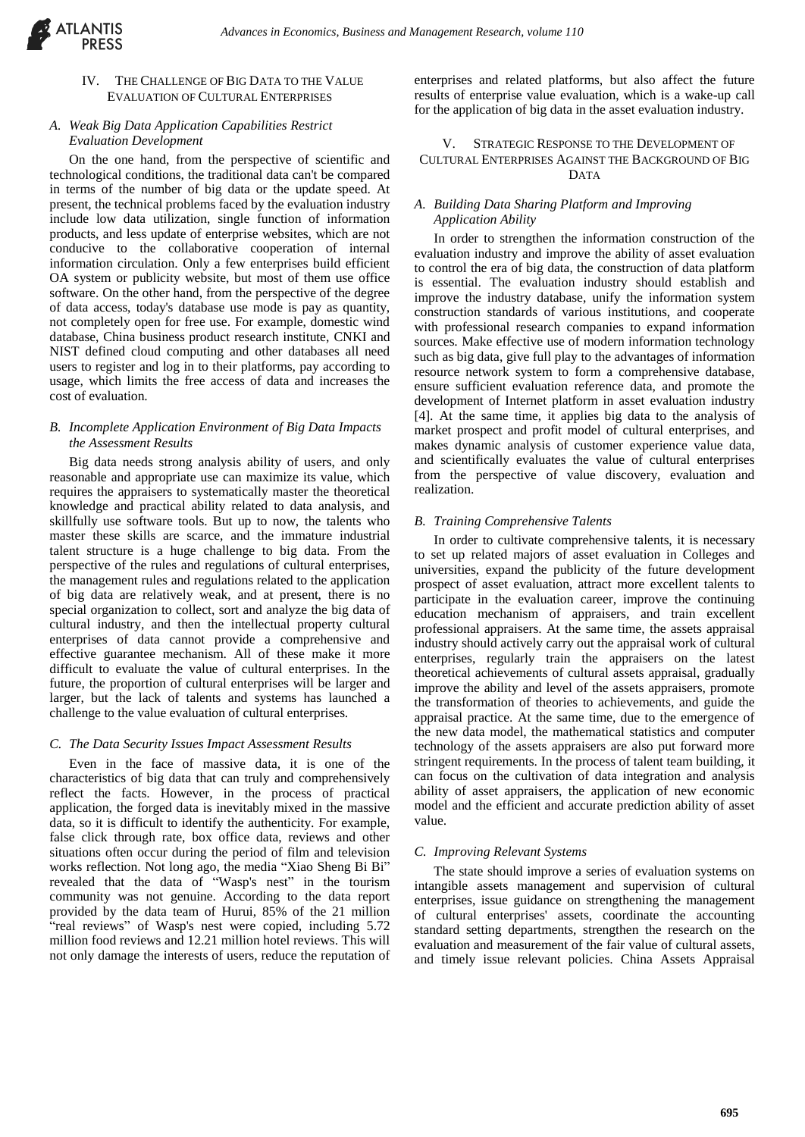

# IV. THE CHALLENGE OF BIG DATA TO THE VALUE EVALUATION OF CULTURAL ENTERPRISES

# *A. Weak Big Data Application Capabilities Restrict Evaluation Development*

On the one hand, from the perspective of scientific and technological conditions, the traditional data can't be compared in terms of the number of big data or the update speed. At present, the technical problems faced by the evaluation industry include low data utilization, single function of information products, and less update of enterprise websites, which are not conducive to the collaborative cooperation of internal information circulation. Only a few enterprises build efficient OA system or publicity website, but most of them use office software. On the other hand, from the perspective of the degree of data access, today's database use mode is pay as quantity, not completely open for free use. For example, domestic wind database, China business product research institute, CNKI and NIST defined cloud computing and other databases all need users to register and log in to their platforms, pay according to usage, which limits the free access of data and increases the cost of evaluation.

#### *B. Incomplete Application Environment of Big Data Impacts the Assessment Results*

Big data needs strong analysis ability of users, and only reasonable and appropriate use can maximize its value, which requires the appraisers to systematically master the theoretical knowledge and practical ability related to data analysis, and skillfully use software tools. But up to now, the talents who master these skills are scarce, and the immature industrial talent structure is a huge challenge to big data. From the perspective of the rules and regulations of cultural enterprises, the management rules and regulations related to the application of big data are relatively weak, and at present, there is no special organization to collect, sort and analyze the big data of cultural industry, and then the intellectual property cultural enterprises of data cannot provide a comprehensive and effective guarantee mechanism. All of these make it more difficult to evaluate the value of cultural enterprises. In the future, the proportion of cultural enterprises will be larger and larger, but the lack of talents and systems has launched a challenge to the value evaluation of cultural enterprises.

# *C. The Data Security Issues Impact Assessment Results*

Even in the face of massive data, it is one of the characteristics of big data that can truly and comprehensively reflect the facts. However, in the process of practical application, the forged data is inevitably mixed in the massive data, so it is difficult to identify the authenticity. For example, false click through rate, box office data, reviews and other situations often occur during the period of film and television works reflection. Not long ago, the media "Xiao Sheng Bi Bi" revealed that the data of "Wasp's nest" in the tourism community was not genuine. According to the data report provided by the data team of Hurui, 85% of the 21 million "real reviews" of Wasp's nest were copied, including 5.72 million food reviews and 12.21 million hotel reviews. This will not only damage the interests of users, reduce the reputation of enterprises and related platforms, but also affect the future results of enterprise value evaluation, which is a wake-up call for the application of big data in the asset evaluation industry.

# V. STRATEGIC RESPONSE TO THE DEVELOPMENT OF CULTURAL ENTERPRISES AGAINST THE BACKGROUND OF BIG DATA

#### *A. Building Data Sharing Platform and Improving Application Ability*

In order to strengthen the information construction of the evaluation industry and improve the ability of asset evaluation to control the era of big data, the construction of data platform is essential. The evaluation industry should establish and improve the industry database, unify the information system construction standards of various institutions, and cooperate with professional research companies to expand information sources. Make effective use of modern information technology such as big data, give full play to the advantages of information resource network system to form a comprehensive database, ensure sufficient evaluation reference data, and promote the development of Internet platform in asset evaluation industry [4]. At the same time, it applies big data to the analysis of market prospect and profit model of cultural enterprises, and makes dynamic analysis of customer experience value data, and scientifically evaluates the value of cultural enterprises from the perspective of value discovery, evaluation and realization.

# *B. Training Comprehensive Talents*

In order to cultivate comprehensive talents, it is necessary to set up related majors of asset evaluation in Colleges and universities, expand the publicity of the future development prospect of asset evaluation, attract more excellent talents to participate in the evaluation career, improve the continuing education mechanism of appraisers, and train excellent professional appraisers. At the same time, the assets appraisal industry should actively carry out the appraisal work of cultural enterprises, regularly train the appraisers on the latest theoretical achievements of cultural assets appraisal, gradually improve the ability and level of the assets appraisers, promote the transformation of theories to achievements, and guide the appraisal practice. At the same time, due to the emergence of the new data model, the mathematical statistics and computer technology of the assets appraisers are also put forward more stringent requirements. In the process of talent team building, it can focus on the cultivation of data integration and analysis ability of asset appraisers, the application of new economic model and the efficient and accurate prediction ability of asset value.

#### *C. Improving Relevant Systems*

The state should improve a series of evaluation systems on intangible assets management and supervision of cultural enterprises, issue guidance on strengthening the management of cultural enterprises' assets, coordinate the accounting standard setting departments, strengthen the research on the evaluation and measurement of the fair value of cultural assets, and timely issue relevant policies. China Assets Appraisal